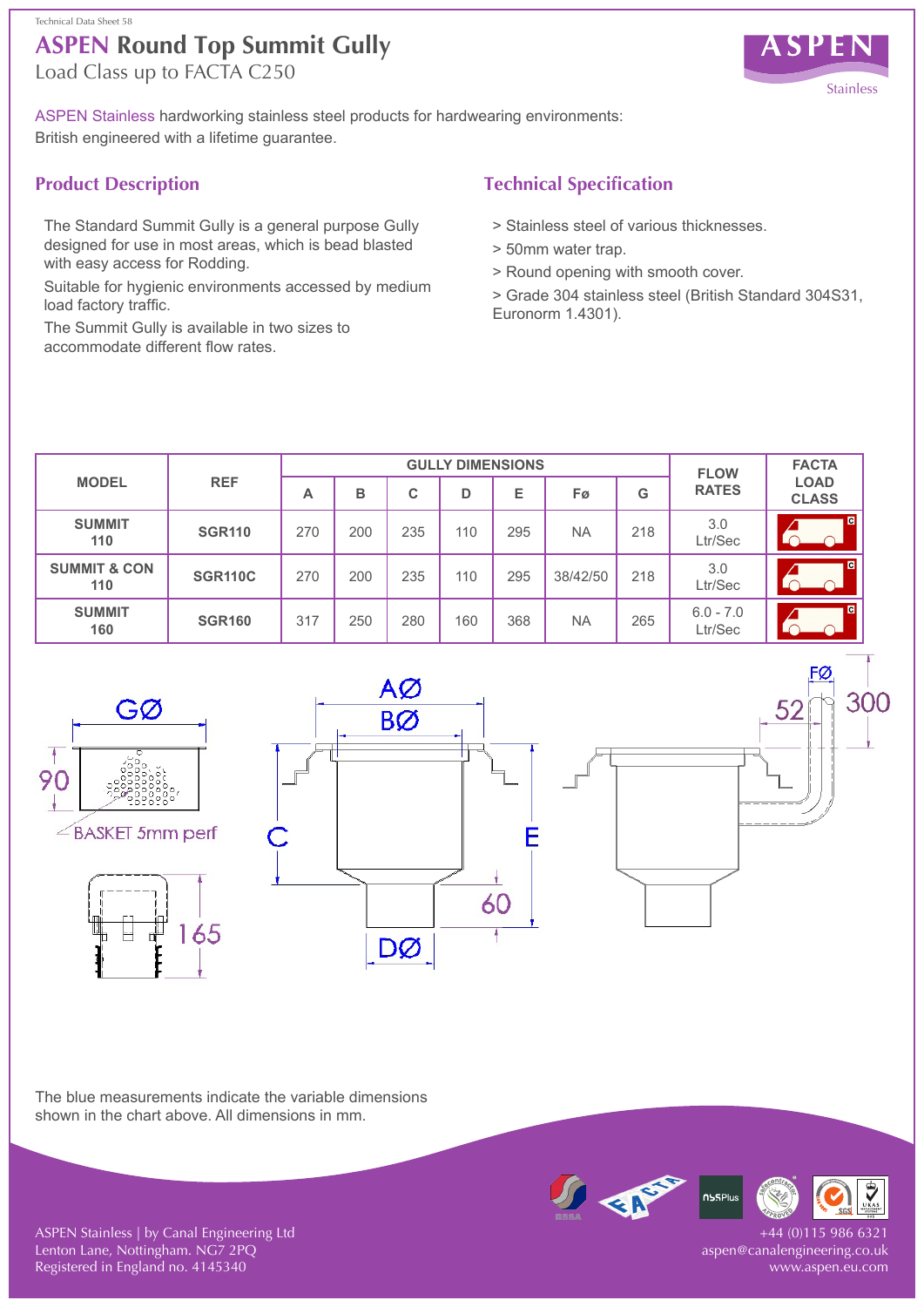# **ASPEN Round Top Summit Gully** Technical Data Sheet 58

Load Class up to FACTA C250



300

ASPEN Stainless hardworking stainless steel products for hardwearing environments: British engineered with a lifetime guarantee.

## **Product Description**

The Standard Summit Gully is a general purpose Gully designed for use in most areas, which is bead blasted with easy access for Rodding.

Suitable for hygienic environments accessed by medium load factory traffic.

The Summit Gully is available in two sizes to accommodate different flow rates.

## **Technical Specification**

- > Stainless steel of various thicknesses.
- > 50mm water trap.
- > Round opening with smooth cover.

> Grade 304 stainless steel (British Standard 304S31, Euronorm 1.4301).

| <b>MODEL</b>                   | <b>REF</b>     | <b>GULLY DIMENSIONS</b> |     |     |     |     |           |     | <b>FLOW</b>            | <b>FACTA</b>                |
|--------------------------------|----------------|-------------------------|-----|-----|-----|-----|-----------|-----|------------------------|-----------------------------|
|                                |                | А                       | в   | С   | D   | E   | Fø        | G   | <b>RATES</b>           | <b>LOAD</b><br><b>CLASS</b> |
| <b>SUMMIT</b><br>110           | <b>SGR110</b>  | 270                     | 200 | 235 | 110 | 295 | <b>NA</b> | 218 | 3.0<br>Ltr/Sec         | G                           |
| <b>SUMMIT &amp; CON</b><br>110 | <b>SGR110C</b> | 270                     | 200 | 235 | 110 | 295 | 38/42/50  | 218 | 3.0<br>Ltr/Sec         | G                           |
| <b>SUMMIT</b><br>160           | <b>SGR160</b>  | 317                     | 250 | 280 | 160 | 368 | <b>NA</b> | 265 | $6.0 - 7.0$<br>Ltr/Sec | a                           |







The blue measurements indicate the variable dimensions shown in the chart above. All dimensions in mm.



-44 (0)115 986 6321 aspen@canalengineering.co.uk www.aspen.eu.com

ASPEN Stainless | by Canal Engineering Ltd Lenton Lane, Nottingham. NG7 2PQ Registered in England no. 4145340